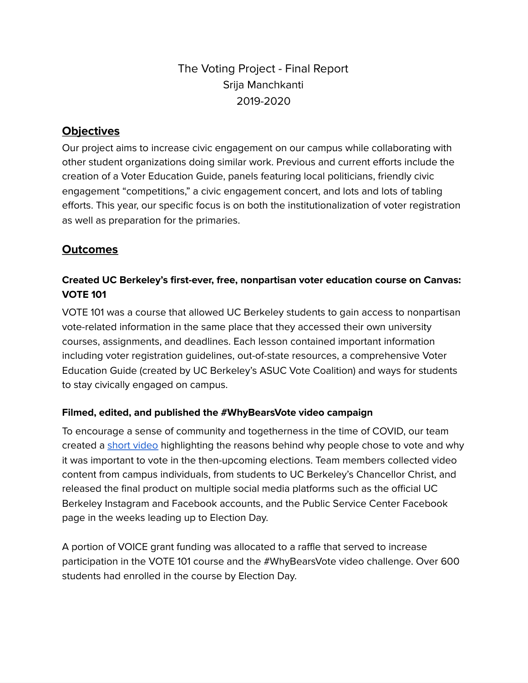# The Voting Project - Final Report Srija Manchkanti 2019-2020

# **Objectives**

Our project aims to increase civic engagement on our campus while collaborating with other student organizations doing similar work. Previous and current efforts include the creation of a Voter Education Guide, panels featuring local politicians, friendly civic engagement "competitions, " a civic engagement concert, and lots and lots of tabling efforts. This year, our specific focus is on both the institutionalization of voter registration as well as preparation for the primaries.

## **Outcomes**

## **Created UC Berkeley's first-ever, free, nonpartisan voter education course on Canvas: VOTE 101**

VOTE 101 was a course that allowed UC Berkeley students to gain access to nonpartisan vote-related information in the same place that they accessed their own university courses, assignments, and deadlines. Each lesson contained important information including voter registration guidelines, out-of-state resources, a comprehensive Voter Education Guide (created by UC Berkeley's ASUC Vote Coalition) and ways for students to stay civically engaged on campus.

### **Filmed, edited, and published the #WhyBearsVote video campaign**

To encourage a sense of community and togetherness in the time of COVID, our team created a short [video](https://news.berkeley.edu/2020/11/03/berkeley-student-video-captures-why-bears-vote-in-this-years-election/) highlighting the reasons behind why people chose to vote and why it was important to vote in the then-upcoming elections. Team members collected video content from campus individuals, from students to UC Berkeley's Chancellor Christ, and released the final product on multiple social media platforms such as the official UC Berkeley Instagram and Facebook accounts, and the Public Service Center Facebook page in the weeks leading up to Election Day.

A portion of VOICE grant funding was allocated to a raffle that served to increase participation in the VOTE 101 course and the #WhyBearsVote video challenge. Over 600 students had enrolled in the course by Election Day.